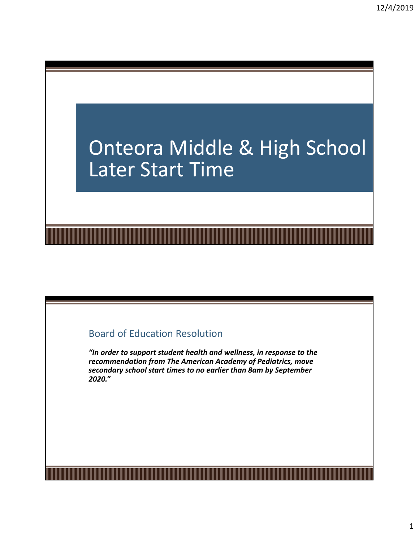# Onteora Middle & High School Later Start Time

## Board of Education Resolution

*"In order to support student health and wellness, in response to the recommendation from The American Academy of Pediatrics, move secondary school start times to no earlier than 8am by September 2020."*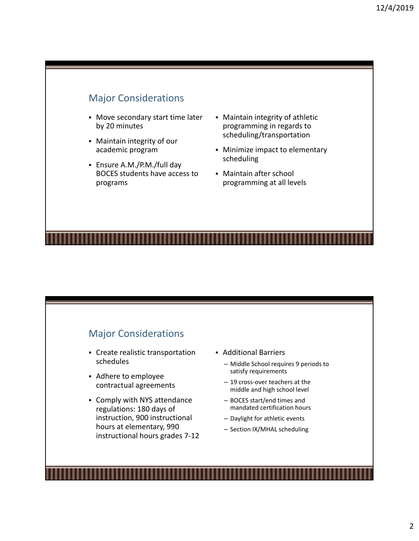### Major Considerations

- Move secondary start time later by 20 minutes
- Maintain integrity of our academic program
- Ensure A.M./P.M./full day BOCES students have access to programs
- Maintain integrity of athletic programming in regards to scheduling/transportation
- Minimize impact to elementary scheduling
- Maintain after school programming at all levels

## Major Considerations

- Create realistic transportation schedules
- Adhere to employee contractual agreements
- Comply with NYS attendance regulations: 180 days of instruction, 900 instructional hours at elementary, 990 instructional hours grades 7‐12
- Additional Barriers
	- Middle School requires 9 periods to satisfy requirements
	- 19 cross‐over teachers at the middle and high school level
	- BOCES start/end times and mandated certification hours
	- Daylight for athletic events
	- Section IX/MHAL scheduling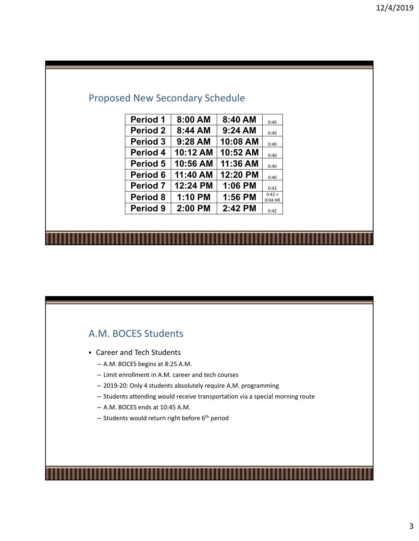# Proposed New Secondary Schedule

| <b>Period 1</b>     | 8:00 AM  | 8:40 AM  | 0:40                  |
|---------------------|----------|----------|-----------------------|
| <b>Period 2</b>     | 8:44 AM  | 9:24 AM  | 0:40                  |
| Period 3            | 9:28 AM  | 10:08 AM | 0:40                  |
| Period 4            | 10:12 AM | 10:52 AM | 0:40                  |
| Period 5            | 10:56 AM | 11:36 AM | 0:40                  |
| Period 6            | 11:40 AM | 12:20 PM | 0:40                  |
| <b>Period 7</b>     | 12:24 PM | 1:06 PM  | 0:42                  |
| Period 8            | 1:10 PM  | 1:56 PM  | $0:42 +$<br>$0:04$ HR |
| Period <sub>9</sub> | 2:00 PM  | 2:42 PM  | 0:42                  |

## A.M. BOCES Students

- Career and Tech Students
	- A.M. BOCES begins at 8:25 A.M.
	- Limit enrollment in A.M. career and tech courses
	- 2019‐20: Only 4 students absolutely require A.M. programming
	- Students attending would receive transportation via a special morning route
	- A.M. BOCES ends at 10:45 A.M.
	- $-$  Students would return right before  $6<sup>th</sup>$  period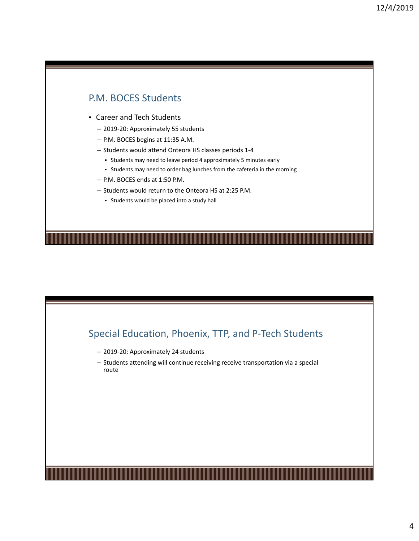## P.M. BOCES Students

- Career and Tech Students
	- 2019‐20: Approximately 55 students
	- P.M. BOCES begins at 11:35 A.M.
	- Students would attend Onteora HS classes periods 1‐4
		- Students may need to leave period 4 approximately 5 minutes early
		- Students may need to order bag lunches from the cafeteria in the morning
	- P.M. BOCES ends at 1:50 P.M.
	- Students would return to the Onteora HS at 2:25 P.M.
		- Students would be placed into a study hall

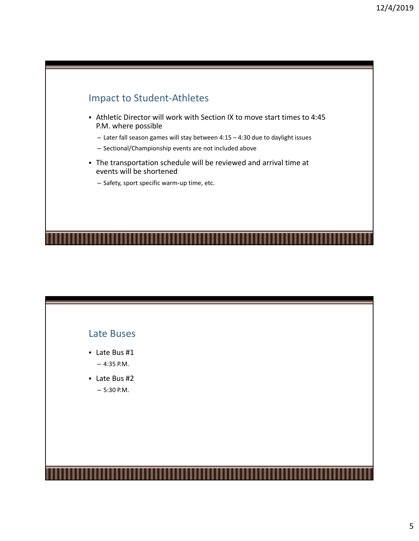

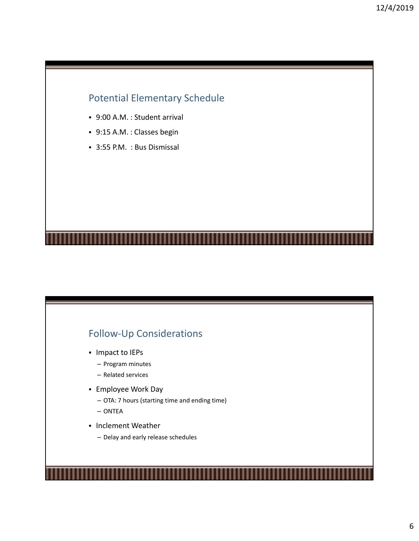## Potential Elementary Schedule

- 9:00 A.M. : Student arrival
- 9:15 A.M. : Classes begin
- 3:55 P.M. : Bus Dismissal

## Follow‐Up Considerations

- **Impact to IEPs** 
	- Program minutes
	- Related services
- Employee Work Day
	- OTA: 7 hours (starting time and ending time)
	- ONTEA
- **Inclement Weather** 
	- Delay and early release schedules